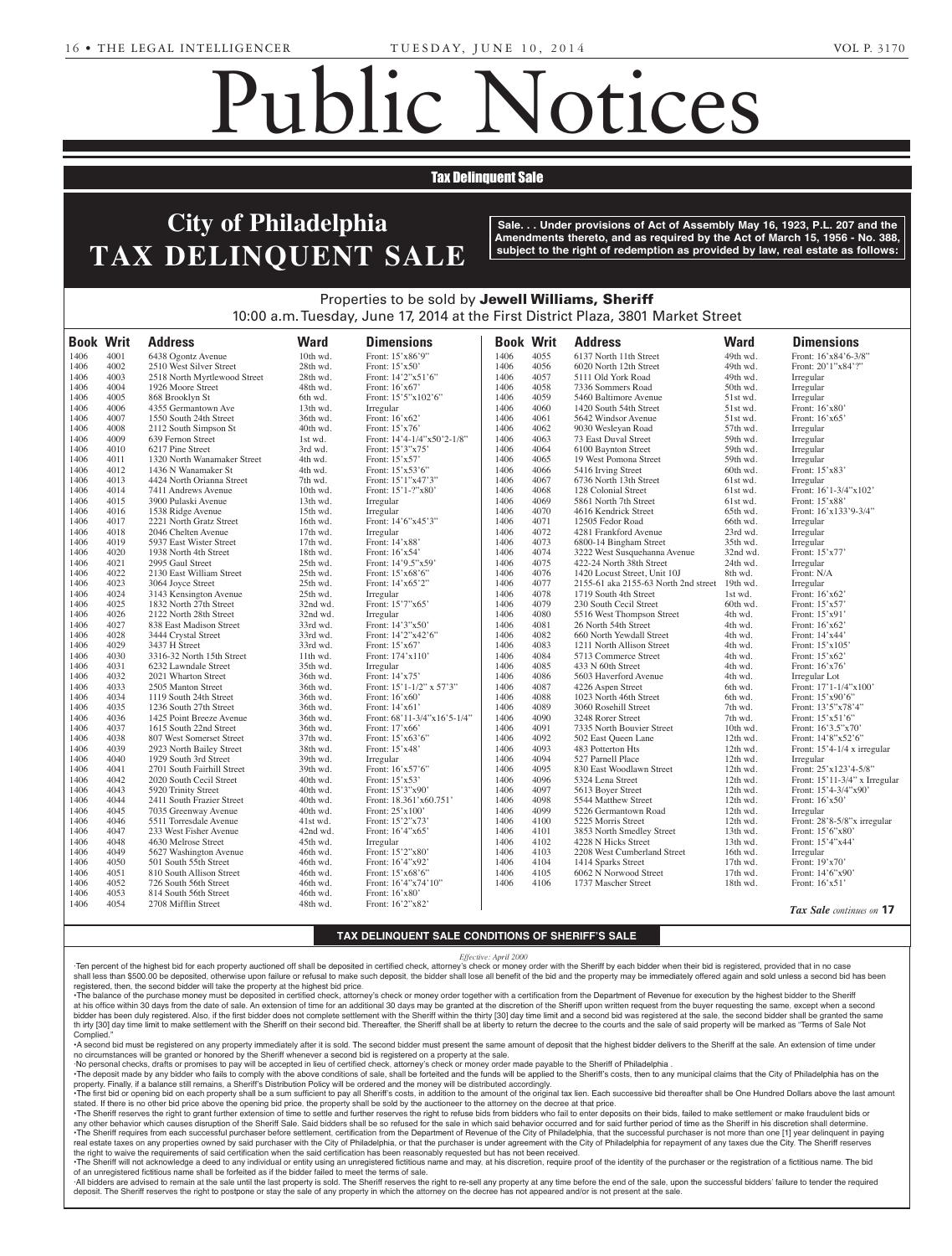of grant of letters to contain

ORPHANS' COURT OF

Gilbert E. Toll, Attorney, 150 Monument Rd., Ste. 603, Balance Balance Balance Balance Balance Balance Balance Balance Balance Balance Balance

6-9-3

19004.

Cynwyd, PA 19004.

Notice is hereby given that Arti-

1988 of the Commonwealth of

# Public Notices

## **Tax Delinquent Sale**

### **NOTICE TO CALCE TO COUNSEL** TAX DELINQUENT SALE y your attention is directed to the set of  $\mathcal{L}$ Estates and Fiduciaries Code of Jax Dei **known as JULIUS VINCENT** f Philadelnhia **CONTINUES AND ADDRESS**  $\mathbf{r}$  fraction  $\mathbf{r}$ INATIENT S Frankford Avenue, Philadelphia, PA 19114; Samuel G. Forte, At-Katz, Executrix, c/o Randal J. Plaza, 801 Old York Rd., Jenkin-

torney, 9225 Frankford Avenue,

**Sale... Under provisions of Act of Assembly May 16, 1923, P.L. 207 and the Amendments thereto, and as required by the Act of March 15, 1956 - No. 388,**  $\bm{\Lambda}$   $\bm{\Gamma}$   $\parallel$  subject to the right of redemption as provided by law, real estate as follows:  $\mid$ **Sale... Under provisions of Act of Assembly May 16, 1923, P.L. 207 and the State Rose 10. 2021** ereto, and as required by the Act of March 15, 1956 - No. 388,  $\vert$ y 16, 1923, P.L. 207 and the  $\parallel$ riaw, rear estate as follows.

**ROSOWSKI, CECELIA R., (also**

Philadelphia, PA 19134; Leon A. Allegheny Ave., Philadelphia,

Properties to be sold by Jewell Williams, Sheriff 10:00 a.m. Tuesday, June 17, 2014 at the First District Plaza, 3801 Market Street **EXAMPLE REPORT RESULTS IN SCIENCE I** no Cho

| <b>Book Writ</b> |      | <b>Address</b>               | <b>Ward</b> | <b>Dimensions</b>           |      | <b>Book Writ</b> | <b>Address</b>                       | <b>Ward</b> | <b>Dimensions</b>               |
|------------------|------|------------------------------|-------------|-----------------------------|------|------------------|--------------------------------------|-------------|---------------------------------|
| 1406             | 4001 | 6438 Ogontz Avenue           | 10th wd.    | Front: 15'x86'9"            | 1406 | 4055             | 6137 North 11th Street               | 49th wd.    | Front: 16'x84'6-3/8"            |
| 1406             | 4002 | 2510 West Silver Street      | 28th wd.    | Front: 15'x50'              | 1406 | 4056             | 6020 North 12th Street               | 49th wd.    | Front: 20'1"x84'?"              |
| 1406             | 4003 | 2518 North Myrtlewood Street | 28th wd.    | Front: 14'2"x51'6"          | 1406 | 4057             | 5111 Old York Road                   | 49th wd.    | Irregular                       |
| 1406             | 4004 | 1926 Moore Street            | 48th wd.    | Front: $16'x67'$            | 1406 | 4058             | 7336 Sommers Road                    | 50th wd.    | Irregular                       |
| 1406             | 4005 | 868 Brooklyn St              | 6th wd.     | Front: 15'5"x102'6"         | 1406 | 4059             | 5460 Baltimore Avenue                | 51st wd.    | Irregular                       |
| 1406             | 4006 | 4355 Germantown Ave          | 13th wd.    | Irregular                   | 1406 | 4060             | 1420 South 54th Street               | 51st wd.    | Front: 16'x80'                  |
| 1406             | 4007 | 1550 South 24th Street       | 36th wd.    | Front: 16'x62'              | 1406 | 4061             | 5642 Windsor Avenue                  | 51st wd.    | Front: 16'x65'                  |
| 1406             | 4008 | 2112 South Simpson St        | 40th wd.    | Front: 15'x76'              | 1406 | 4062             | 9030 Wesleyan Road                   | 57th wd.    | Irregular                       |
| 1406             | 4009 | 639 Fernon Street            | 1st wd.     | Front: 14'4-1/4"x50'2-1/8"  | 1406 | 4063             | 73 East Duval Street                 | 59th wd.    | Irregular                       |
| 1406             | 4010 | 6217 Pine Street             | 3rd wd.     | Front: 15'3"x75'            | 1406 | 4064             | 6100 Baynton Street                  | 59th wd.    | Irregular                       |
|                  | 4011 |                              | 4th wd.     |                             | 1406 | 4065             | 19 West Pomona Street                | 59th wd.    |                                 |
| 1406             |      | 1320 North Wanamaker Street  |             | Front: 15'x57'              | 1406 |                  |                                      |             | Irregular                       |
| 1406             | 4012 | 1436 N Wanamaker St          | 4th wd.     | Front: 15'x53'6"            |      | 4066             | 5416 Irving Street                   | 60th wd.    | Front: 15'x83'                  |
| 1406             | 4013 | 4424 North Orianna Street    | 7th wd.     | Front: 15'1"x47'3"          | 1406 | 4067             | 6736 North 13th Street               | 61st wd.    | Irregular                       |
| 1406             | 4014 | 7411 Andrews Avenue          | 10th wd.    | Front: 15'1-?"x80'          | 1406 | 4068             | 128 Colonial Street                  | 61st wd.    | Front: 16'1-3/4"x102'           |
| 1406             | 4015 | 3900 Pulaski Avenue          | 13th wd.    | Irregular                   | 1406 | 4069             | 5861 North 7th Street                | 61st wd.    | Front: 15'x88'                  |
| 1406             | 4016 | 1538 Ridge Avenue            | 15th wd.    | Irregular                   | 1406 | 4070             | 4616 Kendrick Street                 | 65th wd.    | Front: 16'x133'9-3/4"           |
| 1406             | 4017 | 2221 North Gratz Street      | 16th wd.    | Front: 14'6"x45'3"          | 1406 | 4071             | 12505 Fedor Road                     | 66th wd.    | Irregular                       |
| 1406             | 4018 | 2046 Chelten Avenue          | 17th wd.    | Irregular                   | 1406 | 4072             | 4281 Frankford Avenue                | 23rd wd.    | Irregular                       |
| 1406             | 4019 | 5937 East Wister Street      | 17th wd.    | Front: 14'x88'              | 1406 | 4073             | 6800-14 Bingham Street               | 35th wd.    | Irregular                       |
| 1406             | 4020 | 1938 North 4th Street        | 18th wd.    | Front: $16'x54'$            | 1406 | 4074             | 3222 West Susquehanna Avenue         | 32nd wd.    | Front: 15'x77'                  |
| 1406             | 4021 | 2995 Gaul Street             | 25th wd.    | Front: 14'9.5"x59'          | 1406 | 4075             | 422-24 North 38th Street             | 24th wd.    | Irregular                       |
| 1406             | 4022 | 2130 East William Street     | 25th wd.    | Front: 15'x68'6"            | 1406 | 4076             | 1420 Locust Street, Unit 10J         | 8th wd.     | Front: N/A                      |
| 1406             | 4023 | 3064 Joyce Street            | 25th wd.    | Front: 14'x65'2"            | 1406 | 4077             | 2155-61 aka 2155-63 North 2nd street | 19th wd.    | Irregular                       |
| 1406             | 4024 | 3143 Kensington Avenue       | 25th wd.    | Irregular                   | 1406 | 4078             | 1719 South 4th Street                | 1st wd.     | Front: 16'x62'                  |
| 1406             | 4025 | 1832 North 27th Street       | 32nd wd.    | Front: 15'7"x65'            | 1406 | 4079             | 230 South Cecil Street               | 60th wd.    | Front: 15'x57'                  |
| 1406             | 4026 | 2122 North 28th Street       | 32nd wd.    | Irregular                   | 1406 | 4080             | 5516 West Thompson Street            | 4th wd.     | Front: 15'x91'                  |
| 1406             | 4027 | 838 East Madison Street      | 33rd wd.    | Front: 14'3"x50'            | 1406 | 4081             | 26 North 54th Street                 | 4th wd.     | Front: 16'x62'                  |
| 1406             | 4028 | 3444 Crystal Street          | 33rd wd.    | Front: 14'2"x42'6"          | 1406 | 4082             | 660 North Yewdall Street             | 4th wd.     | Front: 14'x44'                  |
| 1406             | 4029 | 3437 H Street                | 33rd wd.    | Front: 15'x67'              | 1406 | 4083             | 1211 North Allison Street            | 4th wd.     | Front: 15'x105'                 |
| 1406             | 4030 | 3316-32 North 15th Street    | 11th wd.    | Front: 174'x110'            | 1406 | 4084             | 5713 Commerce Street                 | 4th wd.     | Front: 15'x62'                  |
| 1406             | 4031 | 6232 Lawndale Street         | 35th wd.    | Irregular                   | 1406 | 4085             | 433 N 60th Street                    | 4th wd.     | Front: 16'x76'                  |
|                  | 4032 |                              |             |                             |      |                  |                                      |             |                                 |
| 1406             |      | 2021 Wharton Street          | 36th wd.    | Front: 14'x75'              | 1406 | 4086             | 5603 Haverford Avenue                | 4th wd.     | Irregular Lot                   |
| 1406             | 4033 | 2505 Manton Street           | 36th wd.    | Front: 15'1-1/2" x 57'3"    | 1406 | 4087             | 4226 Aspen Street                    | 6th wd.     | Front: 17'1-1/4"x100'           |
| 1406             | 4034 | 1119 South 24th Street       | 36th wd.    | Front: $16'x60'$            | 1406 | 4088             | 1023 North 46th Street               | 6th wd.     | Front: 15'x90'6"                |
| 1406             | 4035 | 1236 South 27th Street       | 36th wd.    | Front: $14'x61'$            | 1406 | 4089             | 3060 Rosehill Street                 | 7th wd.     | Front: 13'5"x78'4"              |
| 1406             | 4036 | 1425 Point Breeze Avenue     | 36th wd.    | Front: 68'11-3/4"x16'5-1/4" | 1406 | 4090             | 3248 Rorer Street                    | 7th wd.     | Front: 15'x51'6"                |
| 1406             | 4037 | 1615 South 22nd Street       | 36th wd.    | Front: 17'x66'              | 1406 | 4091             | 7335 North Bouvier Street            | 10th wd.    | Front: 16'3.5"x70"              |
| 1406             | 4038 | 807 West Somerset Street     | 37th wd.    | Front: 15'x63'6"            | 1406 | 4092             | 502 East Queen Lane                  | 12th wd.    | Front: 14'8"x52'6"              |
| 1406             | 4039 | 2923 North Bailey Street     | 38th wd.    | Front: 15'x48'              | 1406 | 4093             | 483 Potterton Hts                    | 12th wd.    | Front: $15'4-1/4$ x irregular   |
| 1406             | 4040 | 1929 South 3rd Street        | 39th wd.    | Irregular                   | 1406 | 4094             | 527 Parnell Place                    | 12th wd.    | Irregular                       |
| 1406             | 4041 | 2701 South Fairhill Street   | 39th wd.    | Front: 16'x57'6"            | 1406 | 4095             | 830 East Woodlawn Street             | 12th wd.    | Front: 25'x123'4-5/8"           |
| 1406             | 4042 | 2020 South Cecil Street      | 40th wd.    | Front: $15'x53'$            | 1406 | 4096             | 5324 Lena Street                     | 12th wd.    | Front: $15'11-3/4"$ x Irregular |
| 1406             | 4043 | 5920 Trinity Street          | 40th wd.    | Front: 15'3"x90'            | 1406 | 4097             | 5613 Boyer Street                    | 12th wd.    | Front: 15'4-3/4"x90'            |
| 1406             | 4044 | 2411 South Frazier Street    | 40th wd.    | Front: 18.361'x60.751'      | 1406 | 4098             | 5544 Matthew Street                  | 12th wd.    | Front: 16'x50'                  |
| 1406             | 4045 | 7035 Greenway Avenue         | 40th wd.    | Front: 25'x100'             | 1406 | 4099             | 5226 Germantown Road                 | 12th wd.    | Irregular                       |
| 1406             | 4046 | 5511 Torresdale Avenue       | 41st wd.    | Front: 15'2"x73'            | 1406 | 4100             | 5225 Morris Street                   | 12th wd.    | Front: 28'8-5/8"x irregular     |
| 1406             | 4047 | 233 West Fisher Avenue       | 42nd wd.    | Front: 16'4"x65'            | 1406 | 4101             | 3853 North Smedley Street            | 13th wd.    | Front: 15'6"x80'                |
| 1406             | 4048 | 4630 Melrose Street          | 45th wd.    | Irregular                   | 1406 | 4102             | 4228 N Hicks Street                  | 13th wd.    | Front: 15'4"x44'                |
| 1406             | 4049 | 5627 Washington Avenue       | 46th wd.    | Front: 15'2"x80'            | 1406 | 4103             | 2208 West Cumberland Street          | 16th wd.    | Irregular                       |
| 1406             | 4050 | 501 South 55th Street        | 46th wd.    | Front: 16'4"x92'            | 1406 | 4104             | 1414 Sparks Street                   | 17th wd.    | Front: 19'x70'                  |
| 1406             | 4051 | 810 South Allison Street     | 46th wd.    | Front: 15'x68'6"            | 1406 | 4105             | 6062 N Norwood Street                | 17th wd.    | Front: 14'6"x90'                |
| 1406             | 4052 | 726 South 56th Street        | 46th wd.    | Front: 16'4"x74'10"         | 1406 | 4106             | 1737 Mascher Street                  | 18th wd.    | Front: $16'x51'$                |
| 1406             | 4053 |                              |             |                             |      |                  |                                      |             |                                 |
|                  |      | 814 South 56th Street        | 46th wd.    | Front: $16'x80'$            |      |                  |                                      |             |                                 |
| 1406             | 4054 | 2708 Mifflin Street          | 48th wd.    | Front: 16'2"x82'            |      |                  |                                      |             | Tax Sale continues on 17        |

TAX DELINQUENT SALE CONDITIONS OF SHERIFF'S SAL<mark>E</mark> more, Executrix, c/o Embery, Non-Profit Charter

Effective: April 2000 Huntingdon Pike, Rockledge, PA

-Ten percent of the highest bid for each property auctioned off shall be deposited in certified check, attorney's check or money order with the Sheriff by each bidder when their bid is registered, provided that in no case shall less than \$500.00 be deposited, otherwise upon failure or refusal to make such deposit, the bidder shall lose all benefit of the bid and the property may be immediately offered again and sold unless a second bid has **Pregistered, then, the second bidder will take the property at the highest bid price.**<br>
The highest bid price is the conduction of the second bidder with the specifical conditions of the specifical conditions of the speci Sheriff by each bidder when their bid is regi

The balance of the purchase money must be deposited in certified check, attorney's check or money order together with a certification from the Department of Revenue for execution by the highest bidder to the Sheriff (199) at his office within 30 days from the date of sale. An extension of time for an additional 30 days may be granted at the discretion of the Sheriff upon written request from the buyer requesting the same, except when a seco at his office within 30 days from the date of sale. An extension of time for an additional 30 days may be granted at the discretion of the Sheriff upon written request from the buyer requesting the same, except when a seco plader has been duly registered. Also, if the first bloder does not complete settlement with the Sheriff shall be at liberty [30] day time limit and a second bid was registered at the sale, the second bloder shall be grant complied."<br>
sky, Attorney, Robert Slutsky Assembly, Robert Slutsky Assembly, Robert Slutsky Assembly, Robert Slutsky Assem Nichols, about the Sheriff on their second bid. Thereafter, the Sheriff shall be at liberty to return the determined by the Sheriff on their second bid. Thereafter, the Sheriff shall be at liberty to return the determined ortu immodiatelu after it file with the Sheriff by each bidder when their bid is registered, provided that in ho case<br>bid and the property may be immediately offered again and sold unless a second bid has been<br>cation from the Department of Revenue ne Sheriff shall be at liberty to return the decree to the courts and the sale of said property v<br> the Department of Revenue for execution b Nonprofit Corporation Law of

•A second bid must be registered on any property immediately after it is sold. The second bidder must present the same amount of deposit that the highest bidder delivers to the Sheriff at the sale. An extension of time under A second bid must be registered on any property immediately after it is sold. The second bidder must present the same a<br>I no circumstances will be granted or honored by the Sheriff whenever a second bid is registered on a Property immediately after it is sold. The second bidder must present the same amount of depote in a property at the same amount of depote in the same amount of depote in the same amount of depote in the same amount of dep der must present the same amount of depo iat the highest bidder delivers to the Sheriff

Ste. 500, Bala Cynwyd, PA

no circumstances will be granted or honored by the Sheriff whenever a second bid is registered on a property at the sale.<br>·No personal checks, drafts or promises to pay will be accepted in lieu of certified check, attorney

No personal checks, drafts or promises to pay will be accepted in lieu of certified check, attorney's check or money order made payable to the Sheriff of Philadelphia.<br>The deposit made by any bidder who fails to comply wit property. Finally, if a balance still remains, a Sheriff's Distribution Policy will be ordered and the money will be distributed accordingly.<br>The first bid as appear bid an each property shall be a sum oufficient to pay al prinses to pay will be accepted in lieu of certified check, attorney's check or money order made payable to the Sheriff of Philadelphia .<br>Who fails to comply with the above conditions of sale, shall be forteited and the fu Sheriff's costs, then to any municipal claims rimadelphia has on the<br>Nelless shows the lest on

property. Finally, if a balance still remains, a Sheriff's Distribution Policy will be ordered and the money will be distributed accordingly.<br>•The first bid or opening bid on each property shall be a sum sufficient to pay stated. If there is no other bid price above the opening bid price, the property shall be sold by the auctioneer to the attorney on the decree at that price. The Sheriff reserves the right to grant further extension of time to settle and further reserves the right to refuse bids from bidders who fail to enter deposits on their bids, failed to make settlement or make fraudulent pn. Each successive bid thereatter shall be (<br>that price

any other behavior which causes disruption of the Sheriff Sale. Said bidders shall be so refused for the sale in which said behavior occurred and for said further period of time as the Sheriff in his discretion shall deter The Sheriff requires from each successful purchaser before settlement, certification from the Department of Revenue of the City of Philadelphia, that the successful purchaser is not more than one [1] year delinquent in pay read estate taxes on any properties owned by said purchaser with the City of Philadelphia, or that the purchaser is under agreement with the City of Philadelphia for repayment of any taxes on any properties owned by said p the right to waive the requirements of said certification when the said certification has been reasonably requested but has not been received. The Sheriff will not acknowledge a deed to any individual or entity using an unregistered fictitious name and may, at his discretion, require proof of the identity of the purchaser or the registration of a fictitious name. a ion repayment of any tal

of an unregistered fictitious name shall be forfeited as if the bidder failed to meet the terms of sale.  $, \, \mathrm{log}$  $6 - 9 = 10$ 

All bidders are advised to remain at the sale until the last property is sold. The Sheriff reserves the right to re-sell any property at any time before the end of the sale, upon the successful bidders' failure to tender t deposit. The Sheriff reserves the right to postpone or stay the sale of any property in which the attorney on the decree has not appeared and/or is not present at the sale.